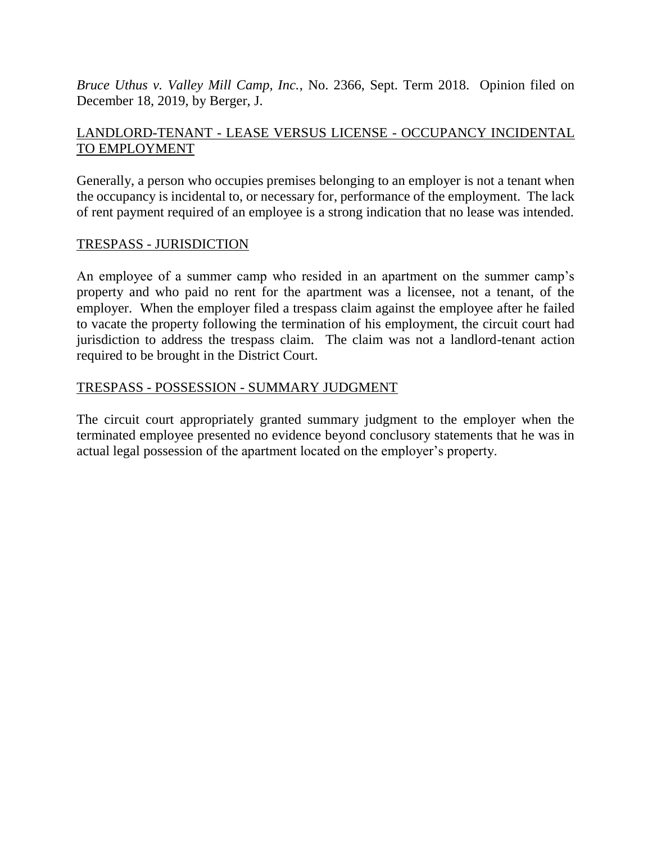*Bruce Uthus v. Valley Mill Camp, Inc.*, No. 2366, Sept. Term 2018. Opinion filed on December 18, 2019, by Berger, J.

# LANDLORD-TENANT - LEASE VERSUS LICENSE - OCCUPANCY INCIDENTAL TO EMPLOYMENT

Generally, a person who occupies premises belonging to an employer is not a tenant when the occupancy is incidental to, or necessary for, performance of the employment. The lack of rent payment required of an employee is a strong indication that no lease was intended.

# TRESPASS - JURISDICTION

An employee of a summer camp who resided in an apartment on the summer camp's property and who paid no rent for the apartment was a licensee, not a tenant, of the employer. When the employer filed a trespass claim against the employee after he failed to vacate the property following the termination of his employment, the circuit court had jurisdiction to address the trespass claim. The claim was not a landlord-tenant action required to be brought in the District Court.

## TRESPASS - POSSESSION - SUMMARY JUDGMENT

The circuit court appropriately granted summary judgment to the employer when the terminated employee presented no evidence beyond conclusory statements that he was in actual legal possession of the apartment located on the employer's property.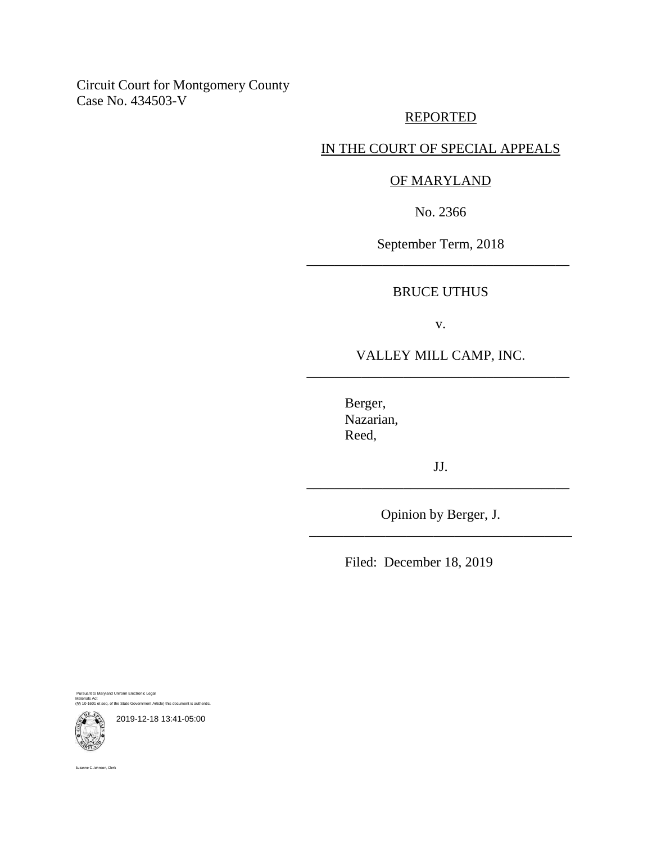# Circuit Court for Montgomery County Case No. 434503-V

## REPORTED

# IN THE COURT OF SPECIAL APPEALS

## OF MARYLAND

No. 2366

September Term, 2018 \_\_\_\_\_\_\_\_\_\_\_\_\_\_\_\_\_\_\_\_\_\_\_\_\_\_\_\_\_\_\_\_\_\_\_\_\_\_

## BRUCE UTHUS

v.

## VALLEY MILL CAMP, INC. \_\_\_\_\_\_\_\_\_\_\_\_\_\_\_\_\_\_\_\_\_\_\_\_\_\_\_\_\_\_\_\_\_\_\_\_\_\_

Berger, Nazarian, Reed,

JJ. \_\_\_\_\_\_\_\_\_\_\_\_\_\_\_\_\_\_\_\_\_\_\_\_\_\_\_\_\_\_\_\_\_\_\_\_\_\_

Opinion by Berger, J. \_\_\_\_\_\_\_\_\_\_\_\_\_\_\_\_\_\_\_\_\_\_\_\_\_\_\_\_\_\_\_\_\_\_\_\_\_\_

Filed: December 18, 2019

Pursuant to Maryland Uniform Electronic Legal Materials Act (§§ 10-1601 et seq. of the State Government Article) this document is authentic.



Suzanne C. Johnson, Clerk

2019-12-18 13:41-05:00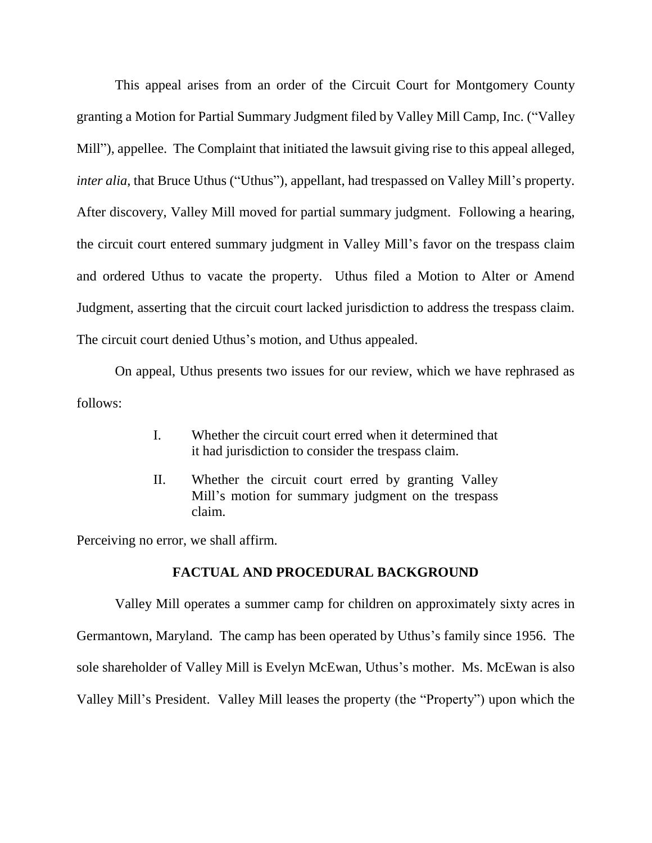This appeal arises from an order of the Circuit Court for Montgomery County granting a Motion for Partial Summary Judgment filed by Valley Mill Camp, Inc. ("Valley Mill"), appellee. The Complaint that initiated the lawsuit giving rise to this appeal alleged, *inter alia*, that Bruce Uthus ("Uthus"), appellant, had trespassed on Valley Mill's property. After discovery, Valley Mill moved for partial summary judgment. Following a hearing, the circuit court entered summary judgment in Valley Mill's favor on the trespass claim and ordered Uthus to vacate the property. Uthus filed a Motion to Alter or Amend Judgment, asserting that the circuit court lacked jurisdiction to address the trespass claim. The circuit court denied Uthus's motion, and Uthus appealed.

On appeal, Uthus presents two issues for our review, which we have rephrased as follows:

- I. Whether the circuit court erred when it determined that it had jurisdiction to consider the trespass claim.
- II. Whether the circuit court erred by granting Valley Mill's motion for summary judgment on the trespass claim.

Perceiving no error, we shall affirm.

#### **FACTUAL AND PROCEDURAL BACKGROUND**

Valley Mill operates a summer camp for children on approximately sixty acres in Germantown, Maryland. The camp has been operated by Uthus's family since 1956. The sole shareholder of Valley Mill is Evelyn McEwan, Uthus's mother. Ms. McEwan is also Valley Mill's President. Valley Mill leases the property (the "Property") upon which the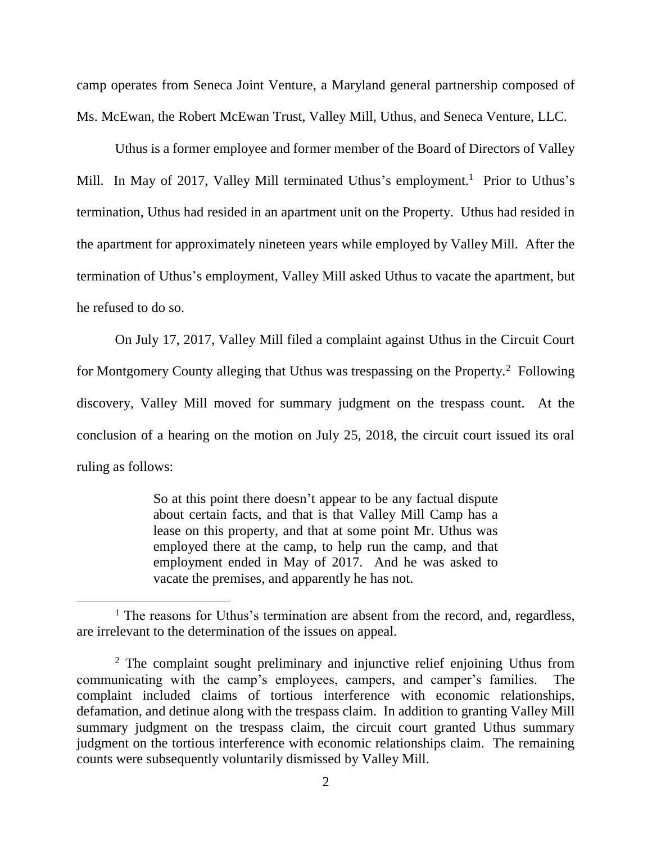camp operates from Seneca Joint Venture, a Maryland general partnership composed of Ms. McEwan, the Robert McEwan Trust, Valley Mill, Uthus, and Seneca Venture, LLC.

Uthus is a former employee and former member of the Board of Directors of Valley Mill. In May of 2017, Valley Mill terminated Uthus's employment.<sup>1</sup> Prior to Uthus's termination, Uthus had resided in an apartment unit on the Property. Uthus had resided in the apartment for approximately nineteen years while employed by Valley Mill. After the termination of Uthus's employment, Valley Mill asked Uthus to vacate the apartment, but he refused to do so.

On July 17, 2017, Valley Mill filed a complaint against Uthus in the Circuit Court for Montgomery County alleging that Uthus was trespassing on the Property.<sup>2</sup> Following discovery, Valley Mill moved for summary judgment on the trespass count. At the conclusion of a hearing on the motion on July 25, 2018, the circuit court issued its oral ruling as follows:

> So at this point there doesn't appear to be any factual dispute about certain facts, and that is that Valley Mill Camp has a lease on this property, and that at some point Mr. Uthus was employed there at the camp, to help run the camp, and that employment ended in May of 2017. And he was asked to vacate the premises, and apparently he has not.

 $<sup>1</sup>$  The reasons for Uthus's termination are absent from the record, and, regardless,</sup> are irrelevant to the determination of the issues on appeal.

<sup>&</sup>lt;sup>2</sup> The complaint sought preliminary and injunctive relief enjoining Uthus from communicating with the camp's employees, campers, and camper's families. The complaint included claims of tortious interference with economic relationships, defamation, and detinue along with the trespass claim. In addition to granting Valley Mill summary judgment on the trespass claim, the circuit court granted Uthus summary judgment on the tortious interference with economic relationships claim. The remaining counts were subsequently voluntarily dismissed by Valley Mill.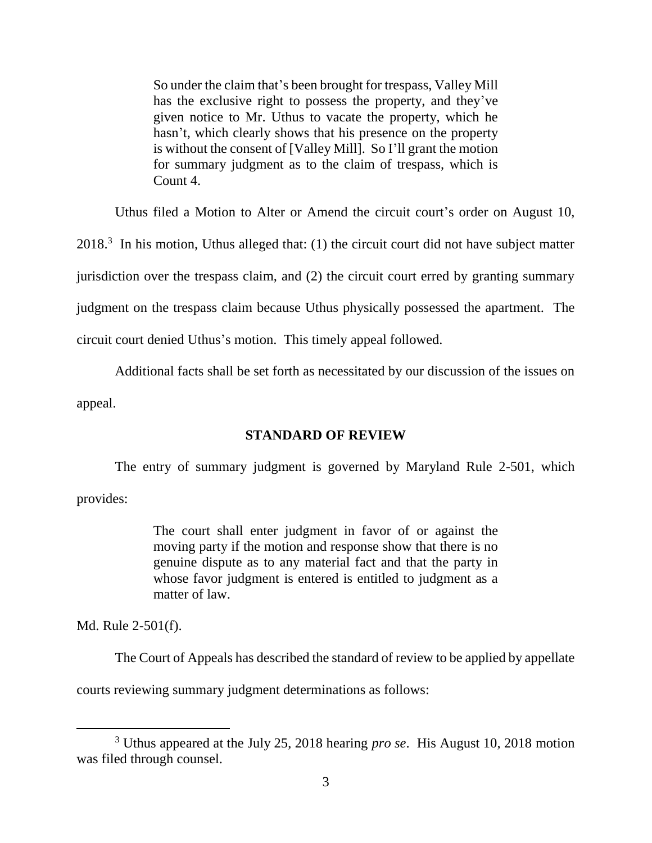So under the claim that's been brought for trespass, Valley Mill has the exclusive right to possess the property, and they've given notice to Mr. Uthus to vacate the property, which he hasn't, which clearly shows that his presence on the property is without the consent of [Valley Mill]. So I'll grant the motion for summary judgment as to the claim of trespass, which is Count 4.

Uthus filed a Motion to Alter or Amend the circuit court's order on August 10,  $2018<sup>3</sup>$  In his motion, Uthus alleged that: (1) the circuit court did not have subject matter jurisdiction over the trespass claim, and (2) the circuit court erred by granting summary judgment on the trespass claim because Uthus physically possessed the apartment. The circuit court denied Uthus's motion. This timely appeal followed.

Additional facts shall be set forth as necessitated by our discussion of the issues on appeal.

#### **STANDARD OF REVIEW**

The entry of summary judgment is governed by Maryland Rule 2-501, which provides:

> The court shall enter judgment in favor of or against the moving party if the motion and response show that there is no genuine dispute as to any material fact and that the party in whose favor judgment is entered is entitled to judgment as a matter of law.

Md. Rule 2-501(f).

 $\overline{a}$ 

The Court of Appeals has described the standard of review to be applied by appellate

courts reviewing summary judgment determinations as follows:

<sup>3</sup> Uthus appeared at the July 25, 2018 hearing *pro se*. His August 10, 2018 motion was filed through counsel.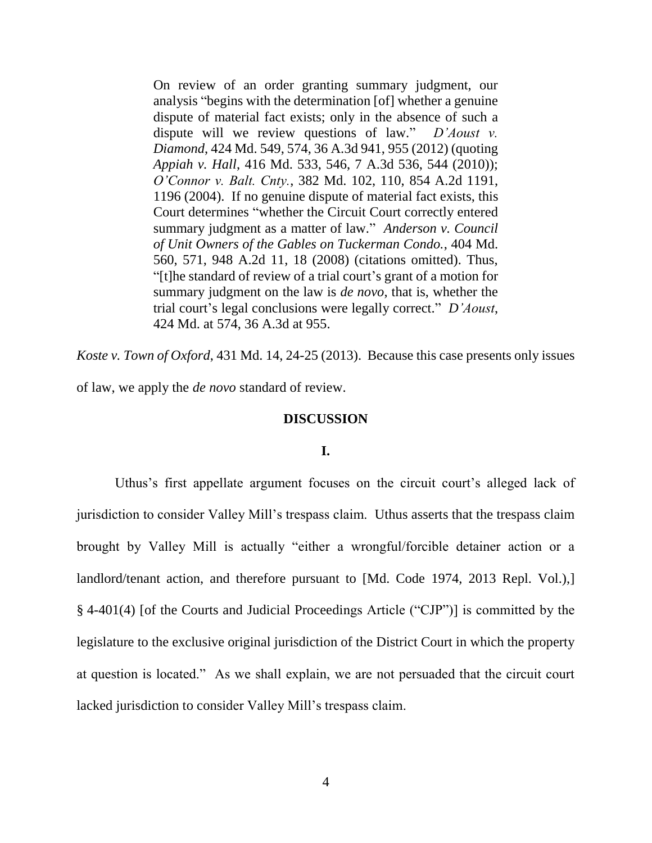On review of an order granting summary judgment, our analysis "begins with the determination [of] whether a genuine dispute of material fact exists; only in the absence of such a dispute will we review questions of law." *D'Aoust v. Diamond*, 424 Md. 549, 574, 36 A.3d 941, 955 (2012) (quoting *Appiah v. Hall*, 416 Md. 533, 546, 7 A.3d 536, 544 (2010)); *O'Connor v. Balt. Cnty.*, 382 Md. 102, 110, 854 A.2d 1191, 1196 (2004). If no genuine dispute of material fact exists, this Court determines "whether the Circuit Court correctly entered summary judgment as a matter of law." *Anderson v. Council of Unit Owners of the Gables on Tuckerman Condo.*, 404 Md. 560, 571, 948 A.2d 11, 18 (2008) (citations omitted). Thus, "[t]he standard of review of a trial court's grant of a motion for summary judgment on the law is *de novo*, that is, whether the trial court's legal conclusions were legally correct." *D'Aoust*, 424 Md. at 574, 36 A.3d at 955.

*Koste v. Town of Oxford*, 431 Md. 14, 24-25 (2013). Because this case presents only issues of law, we apply the *de novo* standard of review.

#### **DISCUSSION**

#### **I.**

Uthus's first appellate argument focuses on the circuit court's alleged lack of jurisdiction to consider Valley Mill's trespass claim. Uthus asserts that the trespass claim brought by Valley Mill is actually "either a wrongful/forcible detainer action or a landlord/tenant action, and therefore pursuant to [Md. Code 1974, 2013 Repl. Vol.), § 4-401(4) [of the Courts and Judicial Proceedings Article ("CJP")] is committed by the legislature to the exclusive original jurisdiction of the District Court in which the property at question is located." As we shall explain, we are not persuaded that the circuit court lacked jurisdiction to consider Valley Mill's trespass claim.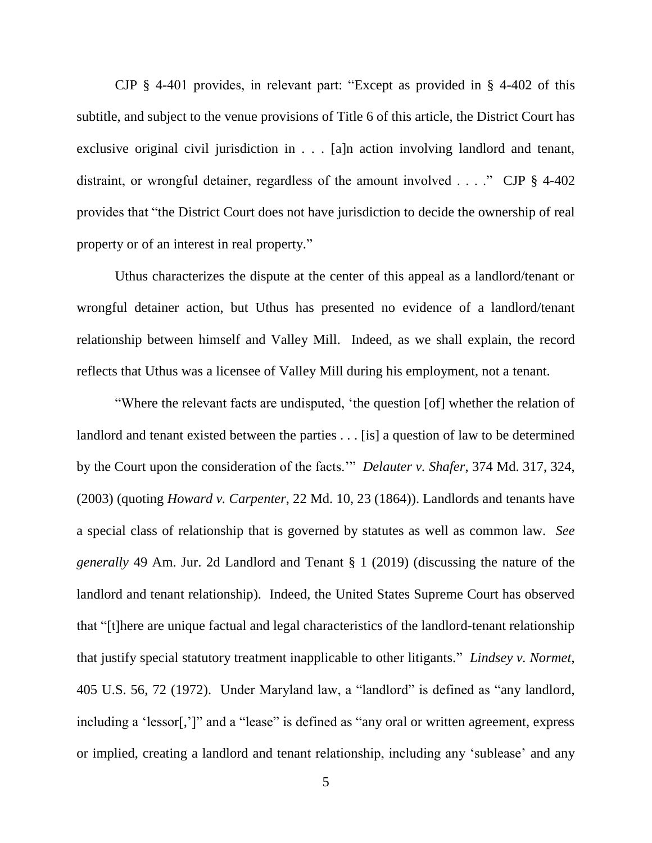CJP § 4-401 provides, in relevant part: "Except as provided in § 4-402 of this subtitle, and subject to the venue provisions of Title 6 of this article, the District Court has exclusive original civil jurisdiction in . . . [a]n action involving landlord and tenant, distraint, or wrongful detainer, regardless of the amount involved . . . ." CJP § 4-402 provides that "the District Court does not have jurisdiction to decide the ownership of real property or of an interest in real property."

Uthus characterizes the dispute at the center of this appeal as a landlord/tenant or wrongful detainer action, but Uthus has presented no evidence of a landlord/tenant relationship between himself and Valley Mill. Indeed, as we shall explain, the record reflects that Uthus was a licensee of Valley Mill during his employment, not a tenant.

"Where the relevant facts are undisputed, 'the question [of] whether the relation of landlord and tenant existed between the parties . . . [is] a question of law to be determined by the Court upon the consideration of the facts.'" *Delauter v. Shafer*, 374 Md. 317, 324, (2003) (quoting *Howard v. Carpenter*, 22 Md. 10, 23 (1864)). Landlords and tenants have a special class of relationship that is governed by statutes as well as common law. *See generally* 49 Am. Jur. 2d Landlord and Tenant § 1 (2019) (discussing the nature of the landlord and tenant relationship). Indeed, the United States Supreme Court has observed that "[t]here are unique factual and legal characteristics of the landlord-tenant relationship that justify special statutory treatment inapplicable to other litigants." *Lindsey v. Normet*, 405 U.S. 56, 72 (1972). Under Maryland law, a "landlord" is defined as "any landlord, including a 'lessor[,']" and a "lease" is defined as "any oral or written agreement, express or implied, creating a landlord and tenant relationship, including any 'sublease' and any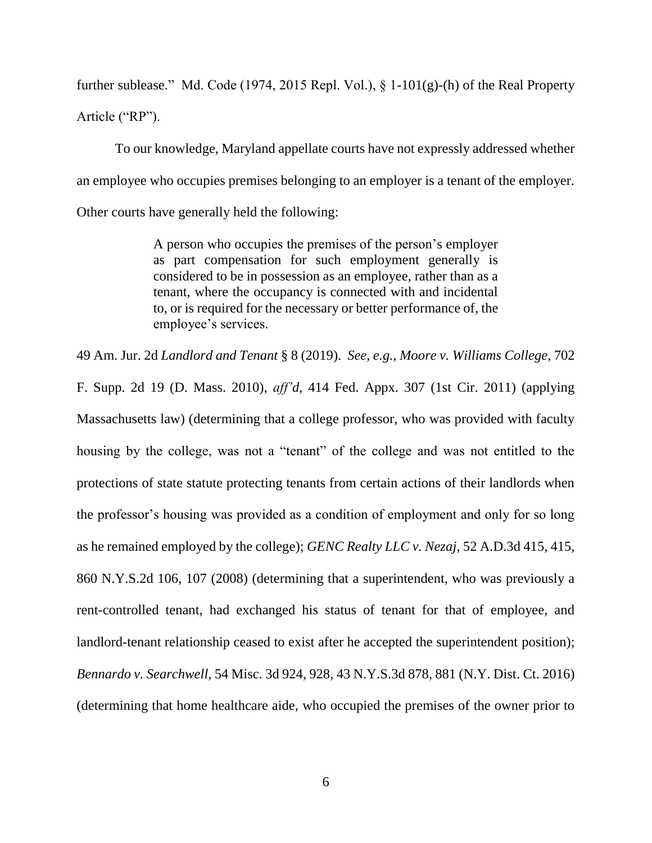further sublease." Md. Code (1974, 2015 Repl. Vol.),  $\S$  1-101(g)-(h) of the Real Property Article ("RP").

To our knowledge, Maryland appellate courts have not expressly addressed whether an employee who occupies premises belonging to an employer is a tenant of the employer. Other courts have generally held the following:

> A person who occupies the premises of the person's employer as part compensation for such employment generally is considered to be in possession as an employee, rather than as a tenant, where the occupancy is connected with and incidental to, or is required for the necessary or better performance of, the employee's services.

49 Am. Jur. 2d *Landlord and Tenant* § 8 (2019). *See*, *e.g.*, *Moore v. Williams College*, 702 F. Supp. 2d 19 (D. Mass. 2010), *aff'd*, 414 Fed. Appx. 307 (1st Cir. 2011) (applying Massachusetts law) (determining that a college professor, who was provided with faculty housing by the college, was not a "tenant" of the college and was not entitled to the protections of state statute protecting tenants from certain actions of their landlords when the professor's housing was provided as a condition of employment and only for so long as he remained employed by the college); *GENC Realty LLC v. Nezaj*, 52 A.D.3d 415, 415, 860 N.Y.S.2d 106, 107 (2008) (determining that a superintendent, who was previously a rent-controlled tenant, had exchanged his status of tenant for that of employee, and landlord-tenant relationship ceased to exist after he accepted the superintendent position); *Bennardo v. Searchwell*, 54 Misc. 3d 924, 928, 43 N.Y.S.3d 878, 881 (N.Y. Dist. Ct. 2016) (determining that home healthcare aide, who occupied the premises of the owner prior to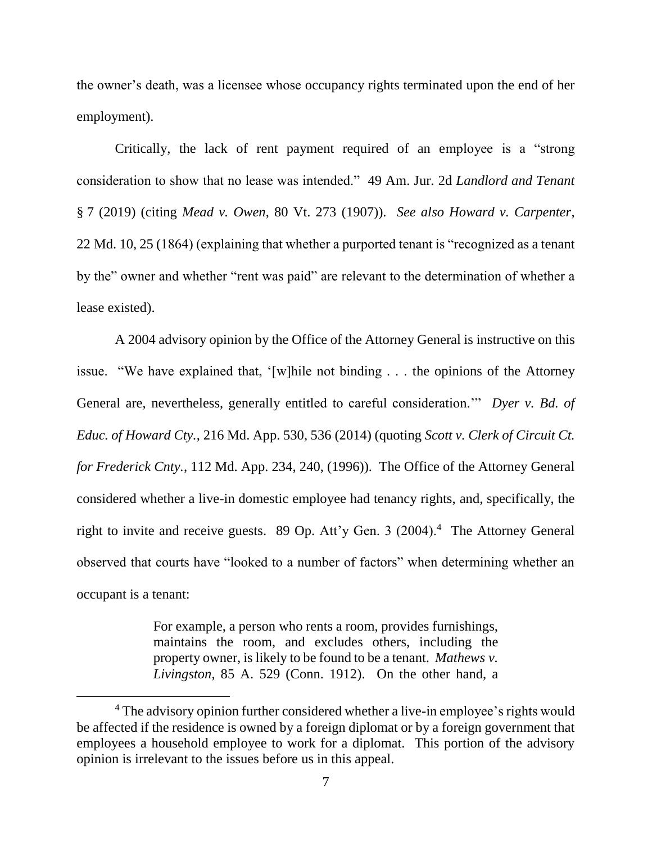the owner's death, was a licensee whose occupancy rights terminated upon the end of her employment).

Critically, the lack of rent payment required of an employee is a "strong consideration to show that no lease was intended." 49 Am. Jur. 2d *Landlord and Tenant* § 7 (2019) (citing *Mead v. Owen*, 80 Vt. 273 (1907)). *See also Howard v. Carpenter*, 22 Md. 10, 25 (1864) (explaining that whether a purported tenant is "recognized as a tenant by the" owner and whether "rent was paid" are relevant to the determination of whether a lease existed).

A 2004 advisory opinion by the Office of the Attorney General is instructive on this issue. "We have explained that, '[w]hile not binding . . . the opinions of the Attorney General are, nevertheless, generally entitled to careful consideration.'" *Dyer v. Bd. of Educ. of Howard Cty.*, 216 Md. App. 530, 536 (2014) (quoting *Scott v. Clerk of Circuit Ct. for Frederick Cnty.*, 112 Md. App. 234, 240, (1996)). The Office of the Attorney General considered whether a live-in domestic employee had tenancy rights, and, specifically, the right to invite and receive guests. 89 Op. Att'y Gen. 3 (2004).<sup>4</sup> The Attorney General observed that courts have "looked to a number of factors" when determining whether an occupant is a tenant:

> For example, a person who rents a room, provides furnishings, maintains the room, and excludes others, including the property owner, is likely to be found to be a tenant. *Mathews v. Livingston*, 85 A. 529 (Conn. 1912). On the other hand, a

<sup>&</sup>lt;sup>4</sup> The advisory opinion further considered whether a live-in employee's rights would be affected if the residence is owned by a foreign diplomat or by a foreign government that employees a household employee to work for a diplomat. This portion of the advisory opinion is irrelevant to the issues before us in this appeal.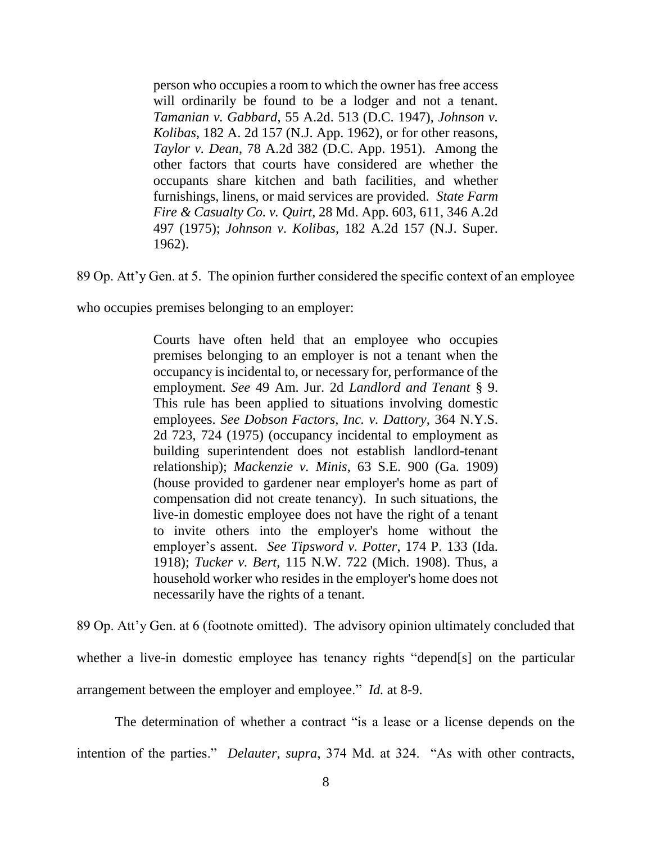person who occupies a room to which the owner has free access will ordinarily be found to be a lodger and not a tenant. *Tamanian v. Gabbard*, 55 A.2d. 513 (D.C. 1947), *Johnson v. Kolibas*, 182 A. 2d 157 (N.J. App. 1962), or for other reasons, *Taylor v. Dean*, 78 A.2d 382 (D.C. App. 1951). Among the other factors that courts have considered are whether the occupants share kitchen and bath facilities, and whether furnishings, linens, or maid services are provided. *State Farm Fire & Casualty Co. v. Quirt*, 28 Md. App. 603, 611, 346 A.2d 497 (1975); *Johnson v. Kolibas*, 182 A.2d 157 (N.J. Super. 1962).

89 Op. Att'y Gen. at 5. The opinion further considered the specific context of an employee

who occupies premises belonging to an employer:

Courts have often held that an employee who occupies premises belonging to an employer is not a tenant when the occupancy is incidental to, or necessary for, performance of the employment. *See* 49 Am. Jur. 2d *Landlord and Tenant* § 9. This rule has been applied to situations involving domestic employees. *See Dobson Factors, Inc. v. Dattory*, 364 N.Y.S. 2d 723, 724 (1975) (occupancy incidental to employment as building superintendent does not establish landlord-tenant relationship); *Mackenzie v. Minis*, 63 S.E. 900 (Ga. 1909) (house provided to gardener near employer's home as part of compensation did not create tenancy). In such situations, the live-in domestic employee does not have the right of a tenant to invite others into the employer's home without the employer's assent. *See Tipsword v. Potter*, 174 P. 133 (Ida. 1918); *Tucker v. Bert*, 115 N.W. 722 (Mich. 1908). Thus, a household worker who resides in the employer's home does not necessarily have the rights of a tenant.

89 Op. Att'y Gen. at 6 (footnote omitted). The advisory opinion ultimately concluded that whether a live-in domestic employee has tenancy rights "depend[s] on the particular arrangement between the employer and employee." *Id.* at 8-9.

The determination of whether a contract "is a lease or a license depends on the intention of the parties." *Delauter*, *supra*, 374 Md. at 324. "As with other contracts,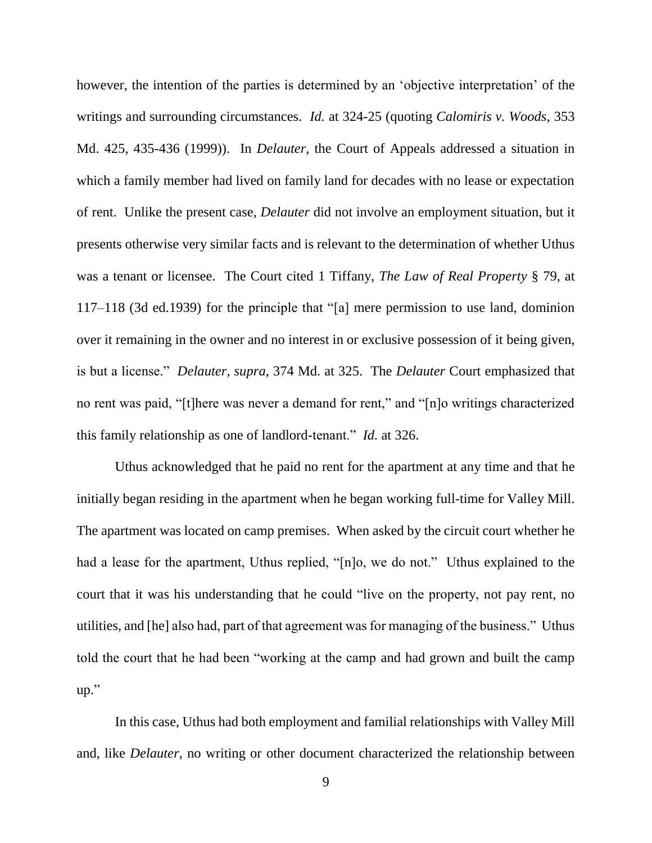however, the intention of the parties is determined by an 'objective interpretation' of the writings and surrounding circumstances. *Id.* at 324-25 (quoting *Calomiris v. Woods*, 353 Md. 425, 435-436 (1999)). In *Delauter*, the Court of Appeals addressed a situation in which a family member had lived on family land for decades with no lease or expectation of rent. Unlike the present case, *Delauter* did not involve an employment situation, but it presents otherwise very similar facts and is relevant to the determination of whether Uthus was a tenant or licensee. The Court cited 1 Tiffany, *The Law of Real Property* § 79, at 117–118 (3d ed.1939) for the principle that "[a] mere permission to use land, dominion over it remaining in the owner and no interest in or exclusive possession of it being given, is but a license." *Delauter*, *supra*, 374 Md. at 325. The *Delauter* Court emphasized that no rent was paid, "[t]here was never a demand for rent," and "[n]o writings characterized this family relationship as one of landlord-tenant." *Id.* at 326.

Uthus acknowledged that he paid no rent for the apartment at any time and that he initially began residing in the apartment when he began working full-time for Valley Mill. The apartment was located on camp premises. When asked by the circuit court whether he had a lease for the apartment, Uthus replied, "[n]o, we do not." Uthus explained to the court that it was his understanding that he could "live on the property, not pay rent, no utilities, and [he] also had, part of that agreement was for managing of the business." Uthus told the court that he had been "working at the camp and had grown and built the camp up."

In this case, Uthus had both employment and familial relationships with Valley Mill and, like *Delauter*, no writing or other document characterized the relationship between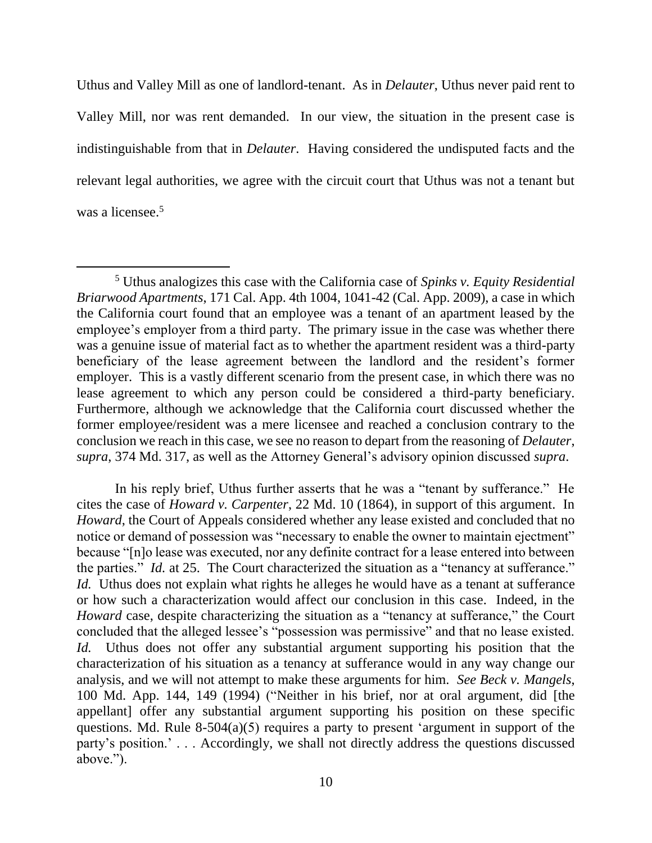Uthus and Valley Mill as one of landlord-tenant. As in *Delauter*, Uthus never paid rent to Valley Mill, nor was rent demanded. In our view, the situation in the present case is indistinguishable from that in *Delauter*. Having considered the undisputed facts and the relevant legal authorities, we agree with the circuit court that Uthus was not a tenant but was a licensee.<sup>5</sup>

 $\overline{a}$ 

In his reply brief, Uthus further asserts that he was a "tenant by sufferance." He cites the case of *Howard v. Carpenter*, 22 Md. 10 (1864), in support of this argument. In *Howard*, the Court of Appeals considered whether any lease existed and concluded that no notice or demand of possession was "necessary to enable the owner to maintain ejectment" because "[n]o lease was executed, nor any definite contract for a lease entered into between the parties." *Id.* at 25. The Court characterized the situation as a "tenancy at sufferance." *Id.* Uthus does not explain what rights he alleges he would have as a tenant at sufferance or how such a characterization would affect our conclusion in this case. Indeed, in the *Howard* case, despite characterizing the situation as a "tenancy at sufferance," the Court concluded that the alleged lessee's "possession was permissive" and that no lease existed. *Id.* Uthus does not offer any substantial argument supporting his position that the characterization of his situation as a tenancy at sufferance would in any way change our analysis, and we will not attempt to make these arguments for him. *See Beck v. Mangels*, 100 Md. App. 144, 149 (1994) ("Neither in his brief, nor at oral argument, did [the appellant] offer any substantial argument supporting his position on these specific questions. Md. Rule 8-504(a)(5) requires a party to present 'argument in support of the party's position.' . . . Accordingly, we shall not directly address the questions discussed above.").

<sup>5</sup> Uthus analogizes this case with the California case of *Spinks v. Equity Residential Briarwood Apartments*, 171 Cal. App. 4th 1004, 1041-42 (Cal. App. 2009), a case in which the California court found that an employee was a tenant of an apartment leased by the employee's employer from a third party. The primary issue in the case was whether there was a genuine issue of material fact as to whether the apartment resident was a third-party beneficiary of the lease agreement between the landlord and the resident's former employer. This is a vastly different scenario from the present case, in which there was no lease agreement to which any person could be considered a third-party beneficiary. Furthermore, although we acknowledge that the California court discussed whether the former employee/resident was a mere licensee and reached a conclusion contrary to the conclusion we reach in this case, we see no reason to depart from the reasoning of *Delauter*, *supra*, 374 Md. 317, as well as the Attorney General's advisory opinion discussed *supra*.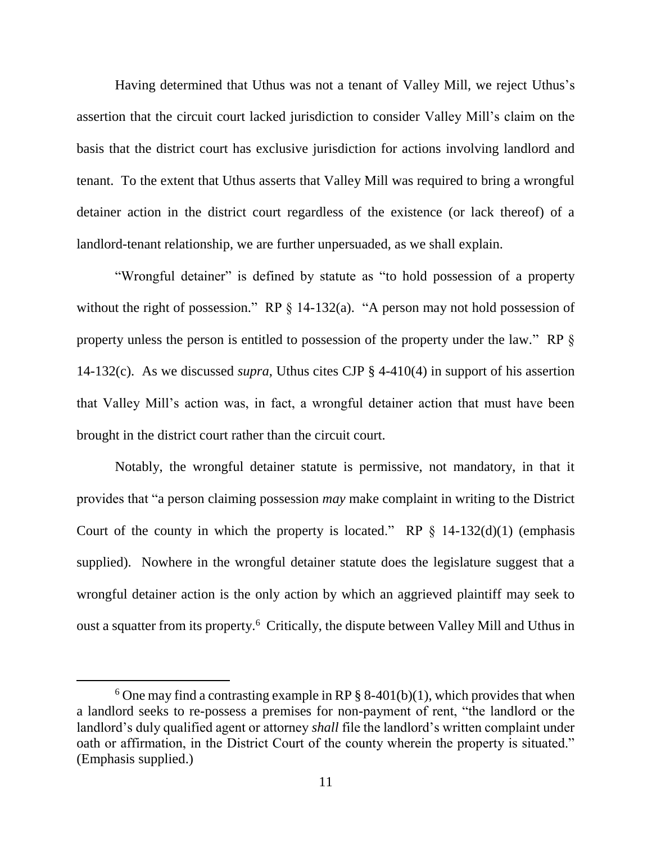Having determined that Uthus was not a tenant of Valley Mill, we reject Uthus's assertion that the circuit court lacked jurisdiction to consider Valley Mill's claim on the basis that the district court has exclusive jurisdiction for actions involving landlord and tenant. To the extent that Uthus asserts that Valley Mill was required to bring a wrongful detainer action in the district court regardless of the existence (or lack thereof) of a landlord-tenant relationship, we are further unpersuaded, as we shall explain.

"Wrongful detainer" is defined by statute as "to hold possession of a property without the right of possession." RP  $\S$  14-132(a). "A person may not hold possession of property unless the person is entitled to possession of the property under the law." RP § 14-132(c). As we discussed *supra*, Uthus cites CJP § 4-410(4) in support of his assertion that Valley Mill's action was, in fact, a wrongful detainer action that must have been brought in the district court rather than the circuit court.

Notably, the wrongful detainer statute is permissive, not mandatory, in that it provides that "a person claiming possession *may* make complaint in writing to the District Court of the county in which the property is located." RP  $\S$  14-132(d)(1) (emphasis supplied). Nowhere in the wrongful detainer statute does the legislature suggest that a wrongful detainer action is the only action by which an aggrieved plaintiff may seek to oust a squatter from its property.<sup>6</sup> Critically, the dispute between Valley Mill and Uthus in

<sup>&</sup>lt;sup>6</sup> One may find a contrasting example in RP  $\S$  8-401(b)(1), which provides that when a landlord seeks to re-possess a premises for non-payment of rent, "the landlord or the landlord's duly qualified agent or attorney *shall* file the landlord's written complaint under oath or affirmation, in the District Court of the county wherein the property is situated." (Emphasis supplied.)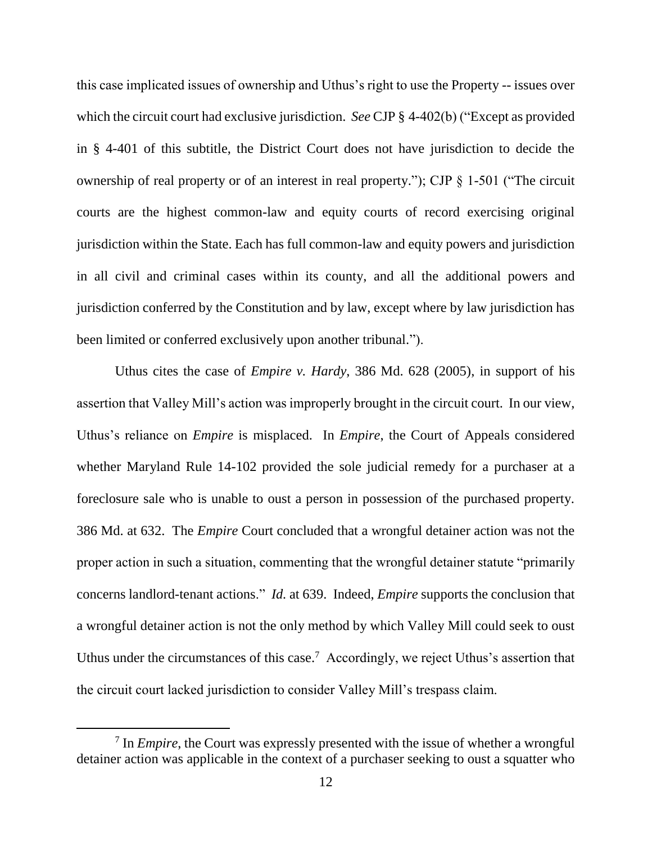this case implicated issues of ownership and Uthus's right to use the Property -- issues over which the circuit court had exclusive jurisdiction. *See* CJP § 4-402(b) ("Except as provided in § 4-401 of this subtitle, the District Court does not have jurisdiction to decide the ownership of real property or of an interest in real property."); CJP § 1-501 ("The circuit courts are the highest common-law and equity courts of record exercising original jurisdiction within the State. Each has full common-law and equity powers and jurisdiction in all civil and criminal cases within its county, and all the additional powers and jurisdiction conferred by the Constitution and by law, except where by law jurisdiction has been limited or conferred exclusively upon another tribunal.").

Uthus cites the case of *Empire v. Hardy*, 386 Md. 628 (2005), in support of his assertion that Valley Mill's action was improperly brought in the circuit court. In our view, Uthus's reliance on *Empire* is misplaced. In *Empire*, the Court of Appeals considered whether Maryland Rule 14-102 provided the sole judicial remedy for a purchaser at a foreclosure sale who is unable to oust a person in possession of the purchased property. 386 Md. at 632. The *Empire* Court concluded that a wrongful detainer action was not the proper action in such a situation, commenting that the wrongful detainer statute "primarily concerns landlord-tenant actions." *Id.* at 639. Indeed, *Empire* supports the conclusion that a wrongful detainer action is not the only method by which Valley Mill could seek to oust Uthus under the circumstances of this case.<sup>7</sup> Accordingly, we reject Uthus's assertion that the circuit court lacked jurisdiction to consider Valley Mill's trespass claim.

<sup>7</sup> In *Empire*, the Court was expressly presented with the issue of whether a wrongful detainer action was applicable in the context of a purchaser seeking to oust a squatter who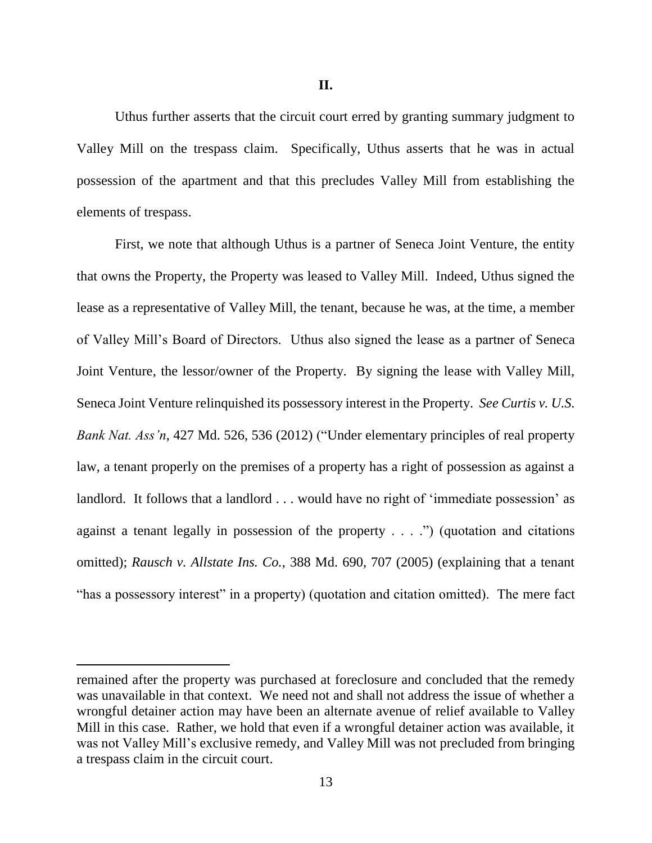Uthus further asserts that the circuit court erred by granting summary judgment to Valley Mill on the trespass claim. Specifically, Uthus asserts that he was in actual possession of the apartment and that this precludes Valley Mill from establishing the elements of trespass.

First, we note that although Uthus is a partner of Seneca Joint Venture, the entity that owns the Property, the Property was leased to Valley Mill. Indeed, Uthus signed the lease as a representative of Valley Mill, the tenant, because he was, at the time, a member of Valley Mill's Board of Directors. Uthus also signed the lease as a partner of Seneca Joint Venture, the lessor/owner of the Property. By signing the lease with Valley Mill, Seneca Joint Venture relinquished its possessory interest in the Property. *See Curtis v. U.S. Bank Nat. Ass'n*, 427 Md. 526, 536 (2012) ("Under elementary principles of real property law, a tenant properly on the premises of a property has a right of possession as against a landlord. It follows that a landlord . . . would have no right of 'immediate possession' as against a tenant legally in possession of the property  $\dots$ .") (quotation and citations omitted); *Rausch v. Allstate Ins. Co.*, 388 Md. 690, 707 (2005) (explaining that a tenant "has a possessory interest" in a property) (quotation and citation omitted). The mere fact

remained after the property was purchased at foreclosure and concluded that the remedy was unavailable in that context. We need not and shall not address the issue of whether a wrongful detainer action may have been an alternate avenue of relief available to Valley Mill in this case. Rather, we hold that even if a wrongful detainer action was available, it was not Valley Mill's exclusive remedy, and Valley Mill was not precluded from bringing a trespass claim in the circuit court.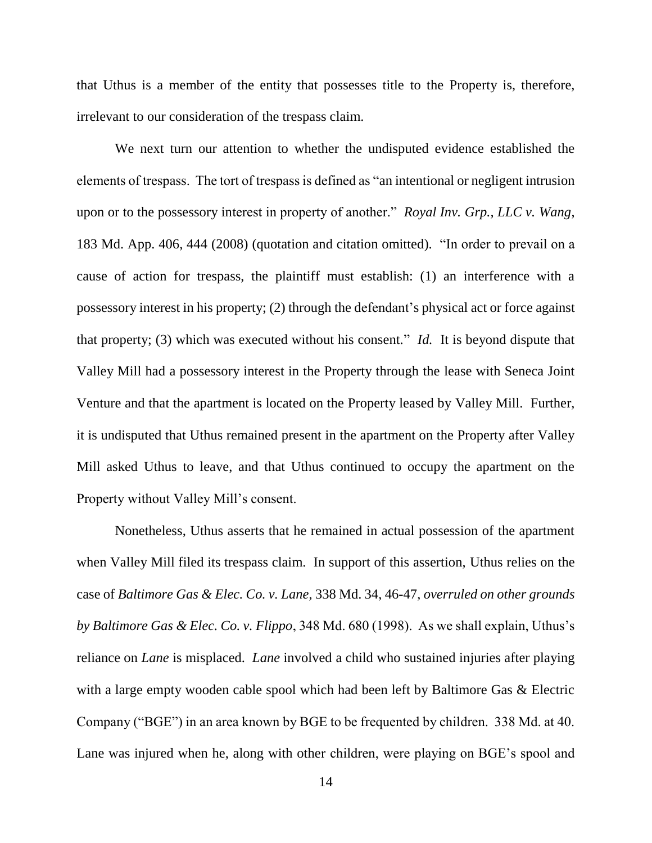that Uthus is a member of the entity that possesses title to the Property is, therefore, irrelevant to our consideration of the trespass claim.

We next turn our attention to whether the undisputed evidence established the elements of trespass. The tort of trespass is defined as "an intentional or negligent intrusion upon or to the possessory interest in property of another." *Royal Inv. Grp., LLC v. Wang*, 183 Md. App. 406, 444 (2008) (quotation and citation omitted). "In order to prevail on a cause of action for trespass, the plaintiff must establish: (1) an interference with a possessory interest in his property; (2) through the defendant's physical act or force against that property; (3) which was executed without his consent." *Id.* It is beyond dispute that Valley Mill had a possessory interest in the Property through the lease with Seneca Joint Venture and that the apartment is located on the Property leased by Valley Mill. Further, it is undisputed that Uthus remained present in the apartment on the Property after Valley Mill asked Uthus to leave, and that Uthus continued to occupy the apartment on the Property without Valley Mill's consent.

Nonetheless, Uthus asserts that he remained in actual possession of the apartment when Valley Mill filed its trespass claim. In support of this assertion, Uthus relies on the case of *Baltimore Gas & Elec. Co. v. Lane*, 338 Md. 34, 46-47, *overruled on other grounds by Baltimore Gas & Elec. Co. v. Flippo*, 348 Md. 680 (1998). As we shall explain, Uthus's reliance on *Lane* is misplaced. *Lane* involved a child who sustained injuries after playing with a large empty wooden cable spool which had been left by Baltimore Gas & Electric Company ("BGE") in an area known by BGE to be frequented by children. 338 Md. at 40. Lane was injured when he, along with other children, were playing on BGE's spool and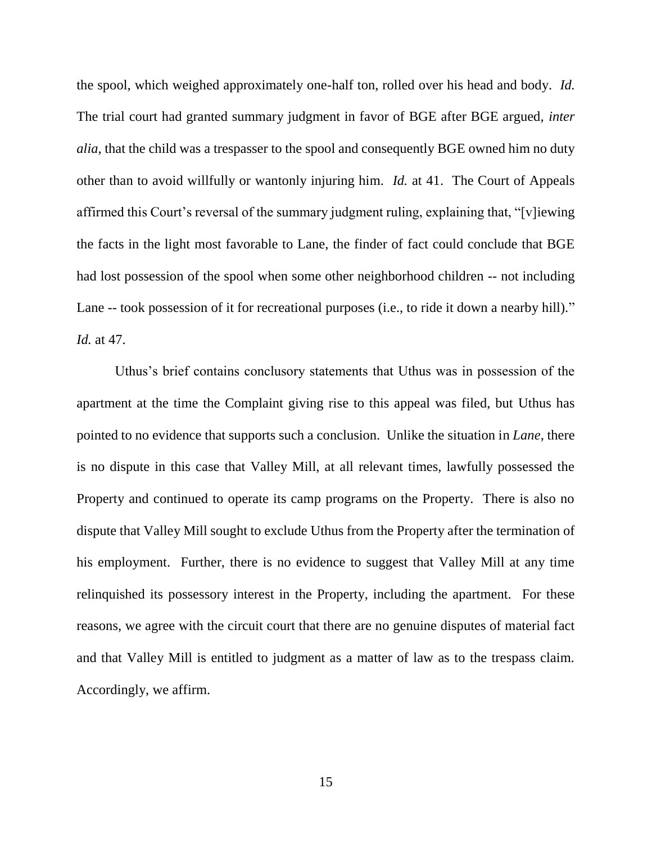the spool, which weighed approximately one-half ton, rolled over his head and body. *Id.*  The trial court had granted summary judgment in favor of BGE after BGE argued, *inter alia*, that the child was a trespasser to the spool and consequently BGE owned him no duty other than to avoid willfully or wantonly injuring him. *Id.* at 41. The Court of Appeals affirmed this Court's reversal of the summary judgment ruling, explaining that, "[v]iewing the facts in the light most favorable to Lane, the finder of fact could conclude that BGE had lost possession of the spool when some other neighborhood children -- not including Lane -- took possession of it for recreational purposes (i.e., to ride it down a nearby hill)." *Id.* at 47.

Uthus's brief contains conclusory statements that Uthus was in possession of the apartment at the time the Complaint giving rise to this appeal was filed, but Uthus has pointed to no evidence that supports such a conclusion. Unlike the situation in *Lane*, there is no dispute in this case that Valley Mill, at all relevant times, lawfully possessed the Property and continued to operate its camp programs on the Property. There is also no dispute that Valley Mill sought to exclude Uthus from the Property after the termination of his employment. Further, there is no evidence to suggest that Valley Mill at any time relinquished its possessory interest in the Property, including the apartment. For these reasons, we agree with the circuit court that there are no genuine disputes of material fact and that Valley Mill is entitled to judgment as a matter of law as to the trespass claim. Accordingly, we affirm.